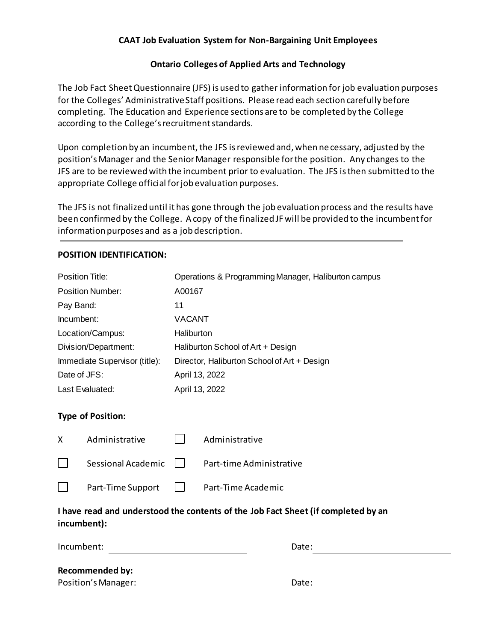## **CAAT Job Evaluation System for Non-Bargaining Unit Employees**

### **Ontario Colleges of Applied Arts and Technology**

The Job Fact Sheet Questionnaire (JFS) is used to gather information for job evaluation purposes for the Colleges' Administrative Staff positions. Please read each section carefully before completing. The Education and Experience sections are to be completed by the College according to the College's recruitment standards.

Upon completion by an incumbent, the JFS is reviewed and, when necessary, adjusted by the position's Manager and the Senior Manager responsible for the position. Any changes to the JFS are to be reviewed with the incumbent prior to evaluation. The JFS is then submitted to the appropriate College official for job evaluation purposes.

The JFS is not finalized until it has gone through the job evaluation process and the results have been confirmed by the College. A copy of the finalized JF will be provided to the incumbent for information purposes and as a job description.

| Operations & Programming Manager, Haliburton campus |                                                                                   |  |  |
|-----------------------------------------------------|-----------------------------------------------------------------------------------|--|--|
| A00167                                              |                                                                                   |  |  |
| 11                                                  |                                                                                   |  |  |
| <b>VACANT</b>                                       |                                                                                   |  |  |
| Haliburton                                          |                                                                                   |  |  |
|                                                     | Haliburton School of Art + Design                                                 |  |  |
|                                                     | Director, Haliburton School of Art + Design                                       |  |  |
| April 13, 2022                                      |                                                                                   |  |  |
| April 13, 2022                                      |                                                                                   |  |  |
|                                                     |                                                                                   |  |  |
|                                                     |                                                                                   |  |  |
|                                                     | Administrative                                                                    |  |  |
|                                                     | Part-time Administrative                                                          |  |  |
|                                                     | Part-Time Academic                                                                |  |  |
|                                                     | I have read and understood the contents of the Job Fact Sheet (if completed by an |  |  |
|                                                     | Date:                                                                             |  |  |
|                                                     |                                                                                   |  |  |
|                                                     | Date:                                                                             |  |  |
|                                                     |                                                                                   |  |  |

### **POSITION IDENTIFICATION:**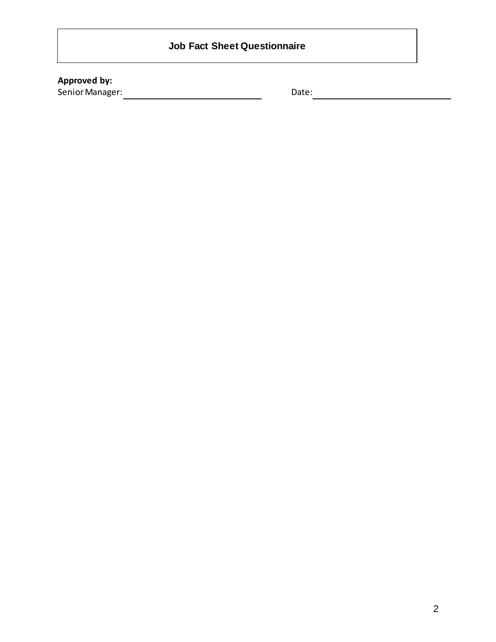# **Approved by:**

Senior Manager: Date: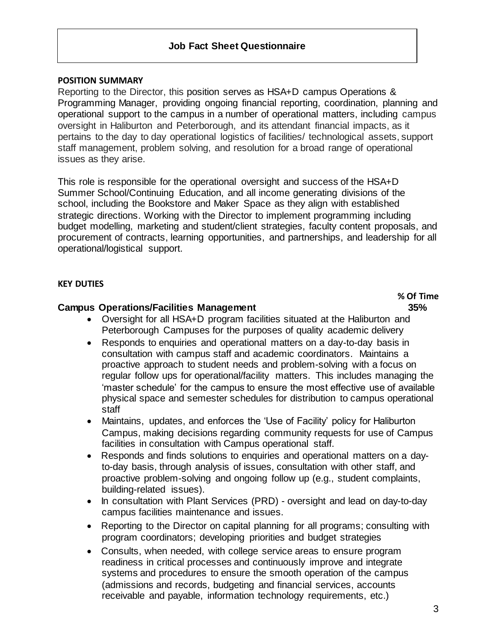#### **POSITION SUMMARY**

Reporting to the Director, this position serves as HSA+D campus Operations & Programming Manager, providing ongoing financial reporting, coordination, planning and operational support to the campus in a number of operational matters, including campus oversight in Haliburton and Peterborough, and its attendant financial impacts, as it pertains to the day to day operational logistics of facilities/ technological assets, support staff management, problem solving, and resolution for a broad range of operational issues as they arise.

This role is responsible for the operational oversight and success of the HSA+D Summer School/Continuing Education, and all income generating divisions of the school, including the Bookstore and Maker Space as they align with established strategic directions. Working with the Director to implement programming including budget modelling, marketing and student/client strategies, faculty content proposals, and procurement of contracts, learning opportunities, and partnerships, and leadership for all operational/logistical support.

#### **KEY DUTIES**

### **Campus Operations/Facilities Management 35%**

• Oversight for all HSA+D program facilities situated at the Haliburton and Peterborough Campuses for the purposes of quality academic delivery

- Responds to enquiries and operational matters on a day-to-day basis in consultation with campus staff and academic coordinators. Maintains a proactive approach to student needs and problem-solving with a focus on regular follow ups for operational/facility matters. This includes managing the 'master schedule' for the campus to ensure the most effective use of available physical space and semester schedules for distribution to campus operational staff
- Maintains, updates, and enforces the 'Use of Facility' policy for Haliburton Campus, making decisions regarding community requests for use of Campus facilities in consultation with Campus operational staff.
- Responds and finds solutions to enquiries and operational matters on a dayto-day basis, through analysis of issues, consultation with other staff, and proactive problem-solving and ongoing follow up (e.g., student complaints, building-related issues).
- In consultation with Plant Services (PRD) oversight and lead on day-to-day campus facilities maintenance and issues.
- Reporting to the Director on capital planning for all programs; consulting with program coordinators; developing priorities and budget strategies
- Consults, when needed, with college service areas to ensure program readiness in critical processes and continuously improve and integrate systems and procedures to ensure the smooth operation of the campus (admissions and records, budgeting and financial services, accounts receivable and payable, information technology requirements, etc.)

3

**% Of Time**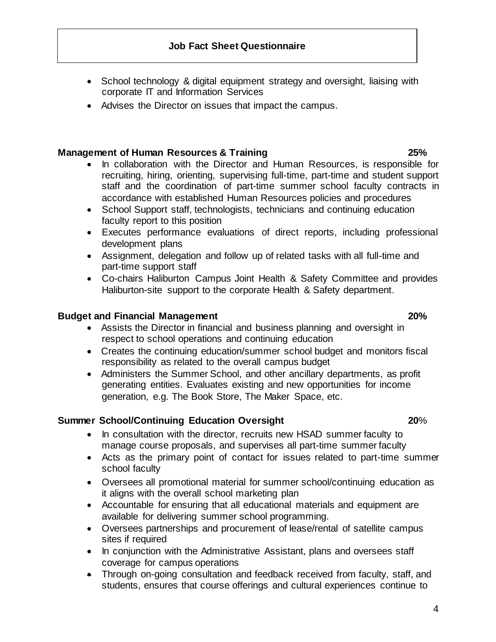- School technology & digital equipment strategy and oversight, liaising with corporate IT and Information Services
- Advises the Director on issues that impact the campus.

# **Management of Human Resources & Training 25%**

- In collaboration with the Director and Human Resources, is responsible for recruiting, hiring, orienting, supervising full-time, part-time and student support staff and the coordination of part-time summer school faculty contracts in accordance with established Human Resources policies and procedures
- School Support staff, technologists, technicians and continuing education faculty report to this position
- Executes performance evaluations of direct reports, including professional development plans
- Assignment, delegation and follow up of related tasks with all full-time and part-time support staff
- Co-chairs Haliburton Campus Joint Health & Safety Committee and provides Haliburton-site support to the corporate Health & Safety department.

# **Budget and Financial Management 20%**

- Assists the Director in financial and business planning and oversight in respect to school operations and continuing education
- Creates the continuing education/summer school budget and monitors fiscal responsibility as related to the overall campus budget
- Administers the Summer School, and other ancillary departments, as profit generating entities. Evaluates existing and new opportunities for income generation, e.g. The Book Store, The Maker Space, etc.

# **Summer School/Continuing Education Oversight 20**%

- In consultation with the director, recruits new HSAD summer faculty to manage course proposals, and supervises all part-time summer faculty
- Acts as the primary point of contact for issues related to part-time summer school faculty
- Oversees all promotional material for summer school/continuing education as it aligns with the overall school marketing plan
- Accountable for ensuring that all educational materials and equipment are available for delivering summer school programming.
- Oversees partnerships and procurement of lease/rental of satellite campus sites if required
- In conjunction with the Administrative Assistant, plans and oversees staff coverage for campus operations
- Through on-going consultation and feedback received from faculty, staff, and students, ensures that course offerings and cultural experiences continue to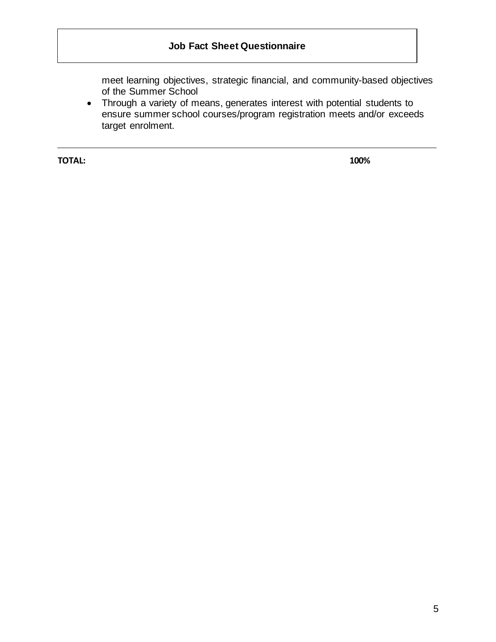meet learning objectives, strategic financial, and community-based objectives of the Summer School

• Through a variety of means, generates interest with potential students to ensure summer school courses/program registration meets and/or exceeds target enrolment.

**TOTAL: 100%**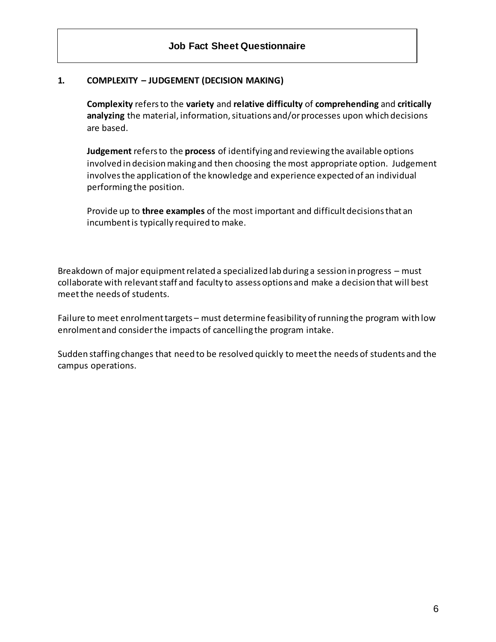### **1. COMPLEXITY – JUDGEMENT (DECISION MAKING)**

**Complexity** refers to the **variety** and **relative difficulty** of **comprehending** and **critically analyzing** the material, information, situations and/or processes upon which decisions are based.

**Judgement** refers to the **process** of identifying and reviewing the available options involved in decision making and then choosing the most appropriate option. Judgement involves the application of the knowledge and experience expected of an individual performing the position.

Provide up to **three examples** of the most important and difficult decisions that an incumbent is typically required to make.

Breakdown of major equipment related a specialized lab during a session in progress – must collaborate with relevant staff and faculty to assess options and make a decision that will best meet the needs of students.

Failure to meet enrolment targets – must determine feasibility of running the program with low enrolment and consider the impacts of cancelling the program intake.

Sudden staffing changes that need to be resolved quickly to meet the needs of students and the campus operations.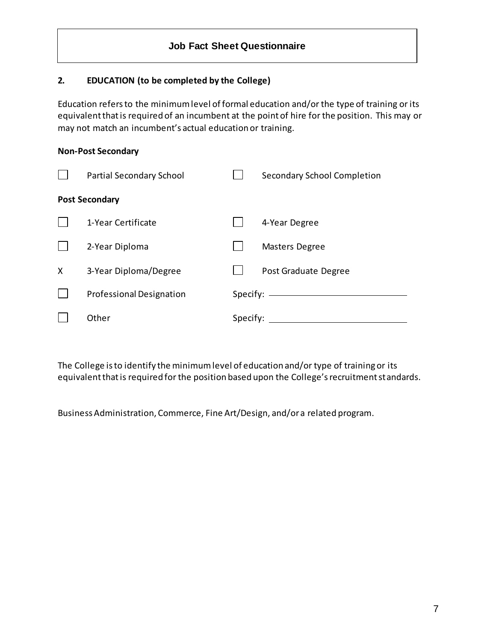## **2. EDUCATION (to be completed by the College)**

Education refers to the minimum level of formal education and/or the type of training or its equivalent that is required of an incumbent at the point of hire for the position. This may or may not match an incumbent's actual education or training.

### **Non-Post Secondary**

|   | <b>Partial Secondary School</b> |          | <b>Secondary School Completion</b> |
|---|---------------------------------|----------|------------------------------------|
|   | <b>Post Secondary</b>           |          |                                    |
|   | 1-Year Certificate              |          | 4-Year Degree                      |
|   | 2-Year Diploma                  |          | <b>Masters Degree</b>              |
| X | 3-Year Diploma/Degree           |          | Post Graduate Degree               |
|   | Professional Designation        |          | Specify: $\longrightarrow$         |
|   | Other                           | Specify: |                                    |

The College is to identify the minimum level of education and/or type of training or its equivalent that is required for the position based upon the College's recruitment standards.

Business Administration, Commerce, Fine Art/Design, and/or a related program.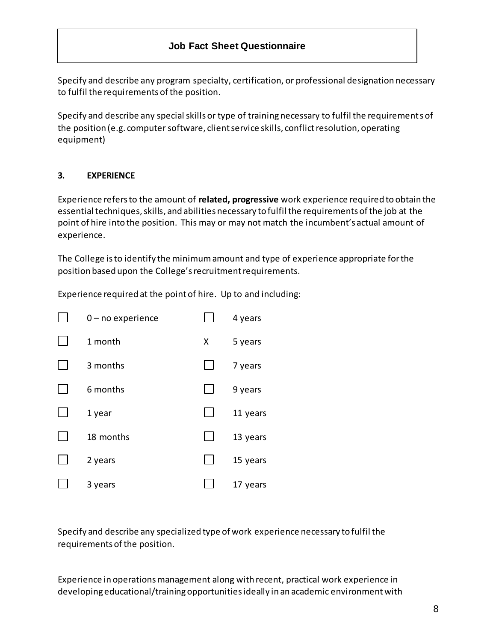Specify and describe any program specialty, certification, or professional designation necessary to fulfil the requirements of the position.

Specify and describe any special skills or type of training necessary to fulfil the requirements of the position (e.g. computer software, client service skills, conflict resolution, operating equipment)

## **3. EXPERIENCE**

Experience refers to the amount of **related, progressive** work experience required to obtain the essential techniques, skills, and abilities necessary to fulfil the requirements of the job at the point of hire into the position. This may or may not match the incumbent's actual amount of experience.

The College is to identify the minimum amount and type of experience appropriate for the position based upon the College's recruitment requirements.

Experience required at the point of hire. Up to and including:



Specify and describe any specialized type of work experience necessary to fulfil the requirements of the position.

Experience in operations management along with recent, practical work experience in developing educational/training opportunities ideally in an academic environment with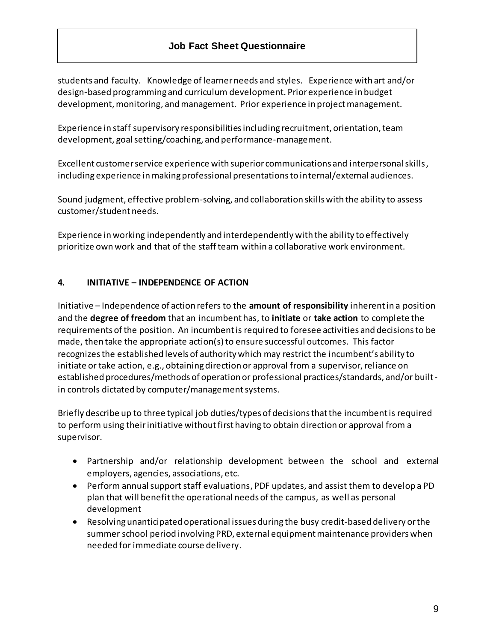students and faculty. Knowledge of learner needs and styles. Experience with art and/or design-based programming and curriculum development. Prior experience in budget development, monitoring, and management. Prior experience in project management.

Experience in staff supervisory responsibilities including recruitment, orientation, team development, goal setting/coaching, and performance-management.

Excellent customer service experience with superior communications and interpersonal skills, including experience in making professional presentations to internal/external audiences.

Sound judgment, effective problem-solving, and collaboration skills with the ability to assess customer/student needs.

Experience in working independently and interdependently with the ability to effectively prioritize own work and that of the staff team within a collaborative work environment.

# **4. INITIATIVE – INDEPENDENCE OF ACTION**

Initiative – Independence of action refers to the **amount of responsibility** inherent in a position and the **degree of freedom** that an incumbent has, to **initiate** or **take action** to complete the requirements of the position. An incumbent is required to foresee activities and decisions to be made, then take the appropriate action(s) to ensure successful outcomes. This factor recognizes the established levels of authority which may restrict the incumbent's ability to initiate or take action, e.g., obtaining direction or approval from a supervisor, reliance on established procedures/methods of operation or professional practices/standards, and/or builtin controls dictated by computer/management systems.

Briefly describe up to three typical job duties/types of decisions that the incumbent is required to perform using their initiative without first having to obtain direction or approval from a supervisor.

- Partnership and/or relationship development between the school and external employers, agencies, associations, etc.
- Perform annual support staff evaluations, PDF updates, and assist them to develop a PD plan that will benefit the operational needs of the campus, as well as personal development
- Resolving unanticipated operational issues during the busy credit-based delivery or the summer school period involving PRD, external equipment maintenance providers when needed for immediate course delivery.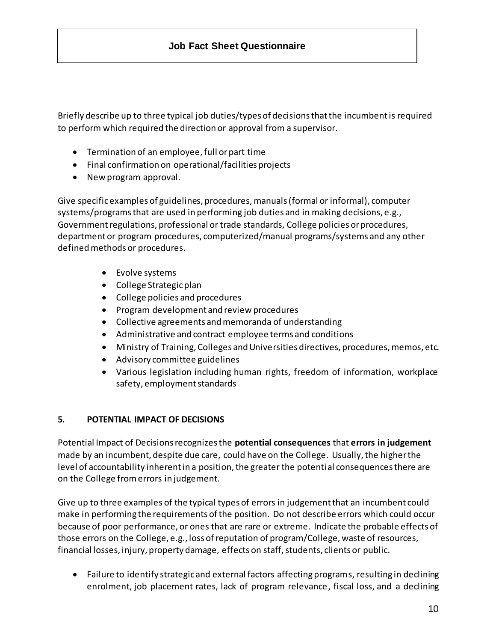Briefly describe up to three typical job duties/types of decisions that the incumbent is required to perform which required the direction or approval from a supervisor.

- Termination of an employee, full or part time
- Final confirmation on operational/facilities projects
- New program approval.

Give specific examples of guidelines, procedures, manuals (formal or informal), computer systems/programs that are used in performing job duties and in making decisions, e.g., Government regulations, professional or trade standards, College policies or procedures, department or program procedures, computerized/manual programs/systems and any other defined methods or procedures.

- Evolve systems
- College Strategic plan
- College policies and procedures
- Program development and review procedures
- Collective agreements and memoranda of understanding
- Administrative and contract employee terms and conditions
- Ministry of Training, Colleges and Universities directives, procedures, memos, etc.
- Advisory committee guidelines
- Various legislation including human rights, freedom of information, workplace safety, employment standards

## **5. POTENTIAL IMPACT OF DECISIONS**

Potential Impact of Decisions recognizes the **potential consequences** that **errors in judgement** made by an incumbent, despite due care, could have on the College. Usually, the higher the level of accountability inherent in a position, the greater the potential consequences there are on the College from errors in judgement.

Give up to three examples of the typical types of errors in judgement that an incumbent could make in performing the requirements of the position. Do not describe errors which could occur because of poor performance, or ones that are rare or extreme. Indicate the probable effects of those errors on the College, e.g., loss of reputation of program/College, waste of resources, financial losses, injury, property damage, effects on staff, students, clients or public.

• Failure to identify strategic and external factors affecting programs, resulting in declining enrolment, job placement rates, lack of program relevance, fiscal loss, and a declining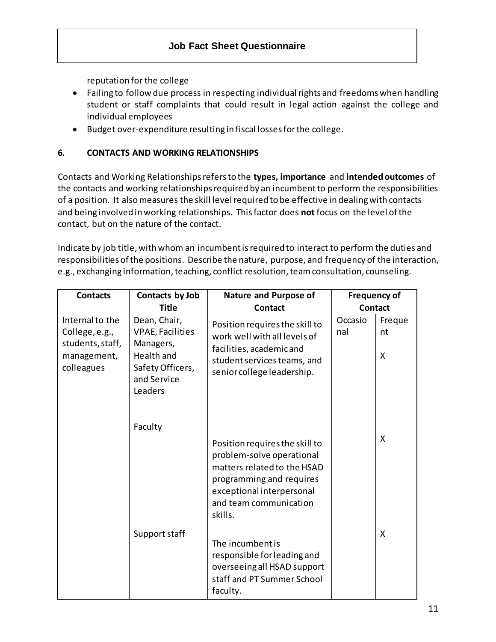reputation for the college

- Failing to follow due process in respecting individual rights and freedoms when handling student or staff complaints that could result in legal action against the college and individual employees
- Budget over-expenditure resulting in fiscal lossesforthe college.

## **6. CONTACTS AND WORKING RELATIONSHIPS**

Contacts and Working Relationships refers to the **types, importance** and **intended outcomes** of the contacts and working relationships required by an incumbent to perform the responsibilities of a position. It also measures the skill level required to be effective in dealing with contacts and being involved in working relationships. This factor does **not** focus on the level of the contact, but on the nature of the contact.

Indicate by job title, with whom an incumbent is required to interact to perform the duties and responsibilities of the positions. Describe the nature, purpose, and frequency of the interaction, e.g., exchanging information, teaching, conflict resolution, team consultation, counseling.

| <b>Contacts</b>                                                                    | Contacts by Job                                                                                                  | Nature and Purpose of                                                                                                                                                                    | <b>Frequency of</b> |                   |
|------------------------------------------------------------------------------------|------------------------------------------------------------------------------------------------------------------|------------------------------------------------------------------------------------------------------------------------------------------------------------------------------------------|---------------------|-------------------|
|                                                                                    | <b>Title</b>                                                                                                     | <b>Contact</b>                                                                                                                                                                           | <b>Contact</b>      |                   |
| Internal to the<br>College, e.g.,<br>students, staff,<br>management,<br>colleagues | Dean, Chair,<br><b>VPAE, Facilities</b><br>Managers,<br>Health and<br>Safety Officers,<br>and Service<br>Leaders | Position requires the skill to<br>work well with all levels of<br>facilities, academic and<br>student services teams, and<br>senior college leadership.                                  | Occasio<br>nal      | Freque<br>nt<br>X |
|                                                                                    | Faculty                                                                                                          | Position requires the skill to<br>problem-solve operational<br>matters related to the HSAD<br>programming and requires<br>exceptional interpersonal<br>and team communication<br>skills. |                     | X                 |
|                                                                                    | Support staff                                                                                                    | The incumbent is<br>responsible for leading and<br>overseeing all HSAD support<br>staff and PT Summer School<br>faculty.                                                                 |                     | X                 |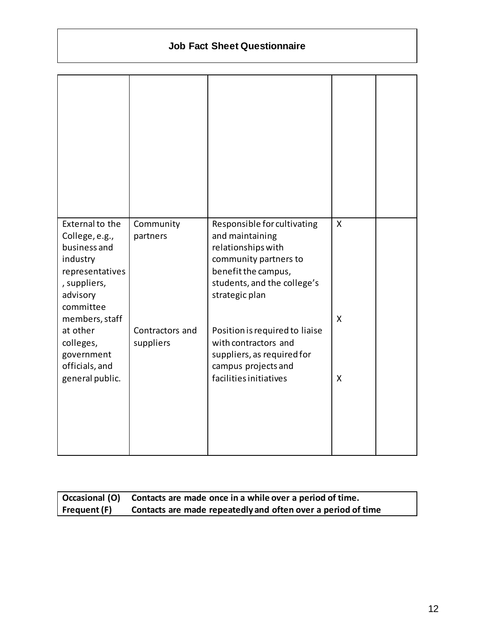| External to the<br>College, e.g.,<br>business and<br>industry<br>representatives<br>, suppliers,<br>advisory<br>committee | Community<br>partners        | Responsible for cultivating<br>and maintaining<br>relationships with<br>community partners to<br>benefit the campus,<br>students, and the college's<br>strategic plan | X      |  |
|---------------------------------------------------------------------------------------------------------------------------|------------------------------|-----------------------------------------------------------------------------------------------------------------------------------------------------------------------|--------|--|
| members, staff<br>at other<br>colleges,<br>government<br>officials, and<br>general public.                                | Contractors and<br>suppliers | Position is required to liaise<br>with contractors and<br>suppliers, as required for<br>campus projects and<br>facilities initiatives                                 | X<br>X |  |

|              | $\vert$ Occasional (O) Contacts are made once in a while over a period of time. |
|--------------|---------------------------------------------------------------------------------|
| Frequent (F) | Contacts are made repeatedly and often over a period of time                    |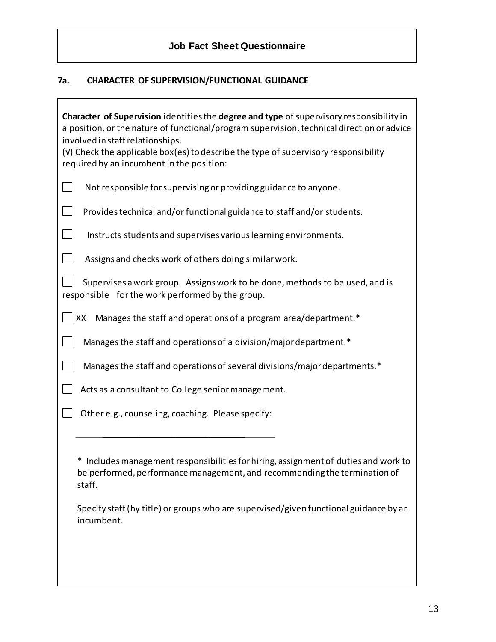# **7a. CHARACTER OF SUPERVISION/FUNCTIONAL GUIDANCE**

| Character of Supervision identifies the degree and type of supervisory responsibility in<br>a position, or the nature of functional/program supervision, technical direction or advice<br>involved in staff relationships.<br>(v) Check the applicable box(es) to describe the type of supervisory responsibility<br>required by an incumbent in the position: |
|----------------------------------------------------------------------------------------------------------------------------------------------------------------------------------------------------------------------------------------------------------------------------------------------------------------------------------------------------------------|
| Not responsible for supervising or providing guidance to anyone.                                                                                                                                                                                                                                                                                               |
| Provides technical and/or functional guidance to staff and/or students.                                                                                                                                                                                                                                                                                        |
| Instructs students and supervises various learning environments.                                                                                                                                                                                                                                                                                               |
| Assigns and checks work of others doing similar work.                                                                                                                                                                                                                                                                                                          |
| Supervises a work group. Assigns work to be done, methods to be used, and is<br>responsible for the work performed by the group.                                                                                                                                                                                                                               |
| $\Box$ XX<br>Manages the staff and operations of a program area/department.*                                                                                                                                                                                                                                                                                   |
| Manages the staff and operations of a division/major department.*                                                                                                                                                                                                                                                                                              |
| Manages the staff and operations of several divisions/major departments.*                                                                                                                                                                                                                                                                                      |
| Acts as a consultant to College senior management.                                                                                                                                                                                                                                                                                                             |
| Other e.g., counseling, coaching. Please specify:                                                                                                                                                                                                                                                                                                              |
|                                                                                                                                                                                                                                                                                                                                                                |
| * Includes management responsibilities for hiring, assignment of duties and work to<br>be performed, performance management, and recommending the termination of<br>staff.                                                                                                                                                                                     |
| Specify staff (by title) or groups who are supervised/given functional guidance by an<br>incumbent.                                                                                                                                                                                                                                                            |
|                                                                                                                                                                                                                                                                                                                                                                |
|                                                                                                                                                                                                                                                                                                                                                                |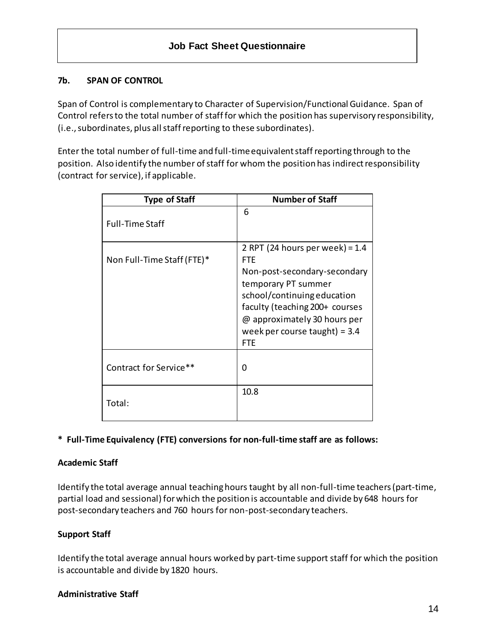## **7b. SPAN OF CONTROL**

Span of Control is complementary to Character of Supervision/Functional Guidance. Span of Control refers to the total number of staff for which the position has supervisory responsibility, (i.e., subordinates, plus all staff reporting to these subordinates).

Enter the total number of full-time and full-time equivalent staff reporting through to the position. Also identify the number of staff for whom the position has indirect responsibility (contract for service), if applicable.

| <b>Type of Staff</b>       | <b>Number of Staff</b>                                                                                                                                                                                                                                   |
|----------------------------|----------------------------------------------------------------------------------------------------------------------------------------------------------------------------------------------------------------------------------------------------------|
| <b>Full-Time Staff</b>     | 6                                                                                                                                                                                                                                                        |
| Non Full-Time Staff (FTE)* | 2 RPT (24 hours per week) = $1.4$<br><b>FTE</b><br>Non-post-secondary-secondary<br>temporary PT summer<br>school/continuing education<br>faculty (teaching 200+ courses<br>@ approximately 30 hours per<br>week per course taught) = $3.4$<br><b>FTE</b> |
| Contract for Service**     | O                                                                                                                                                                                                                                                        |
| Total:                     | 10.8                                                                                                                                                                                                                                                     |

## **\* Full-Time Equivalency (FTE) conversions for non-full-time staff are as follows:**

### **Academic Staff**

Identify the total average annual teaching hours taught by all non-full-time teachers (part-time, partial load and sessional) for which the position is accountable and divide by 648 hours for post-secondary teachers and 760 hours for non-post-secondary teachers.

### **Support Staff**

Identify the total average annual hours worked by part-time support staff for which the position is accountable and divide by 1820 hours.

### **Administrative Staff**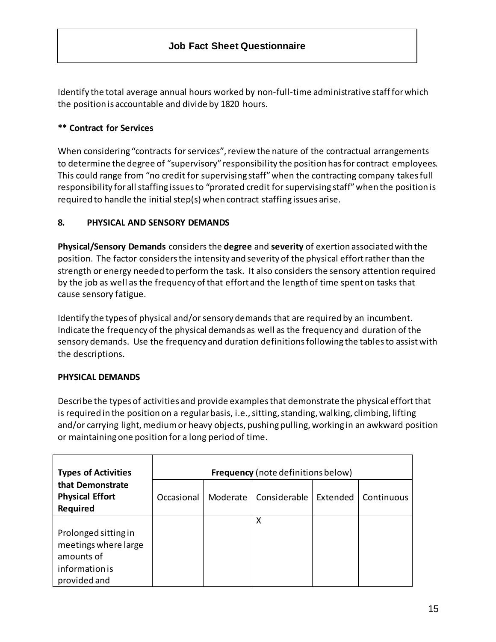Identify the total average annual hours worked by non-full-time administrative staff for which the position is accountable and divide by 1820 hours.

## **\*\* Contract for Services**

When considering "contracts for services", review the nature of the contractual arrangements to determine the degree of "supervisory" responsibility the position has for contract employees. This could range from "no credit for supervising staff" when the contracting company takes full responsibility for all staffing issues to "prorated credit for supervising staff" when the position is required to handle the initial step(s) when contract staffing issues arise.

## **8. PHYSICAL AND SENSORY DEMANDS**

**Physical/Sensory Demands** considers the **degree** and **severity** of exertion associated with the position. The factor considers the intensity and severity of the physical effort rather than the strength or energy needed to perform the task. It also considers the sensory attention required by the job as well as the frequency of that effort and the length of time spent on tasks that cause sensory fatigue.

Identify the types of physical and/or sensory demands that are required by an incumbent. Indicate the frequency of the physical demands as well as the frequency and duration of the sensory demands. Use the frequency and duration definitions following the tables to assist with the descriptions.

## **PHYSICAL DEMANDS**

Describe the types of activities and provide examples that demonstrate the physical effort that is required in the position on a regular basis, i.e., sitting, standing, walking, climbing, lifting and/or carrying light, medium or heavy objects, pushing pulling, working in an awkward position or maintaining one position for a long period of time.

| <b>Types of Activities</b>                                 | <b>Frequency</b> (note definitions below) |          |              |          |            |
|------------------------------------------------------------|-------------------------------------------|----------|--------------|----------|------------|
| that Demonstrate<br><b>Physical Effort</b><br>Required     | Occasional                                | Moderate | Considerable | Extended | Continuous |
|                                                            |                                           |          | X            |          |            |
| Prolonged sitting in<br>meetings where large<br>amounts of |                                           |          |              |          |            |
| information is<br>provided and                             |                                           |          |              |          |            |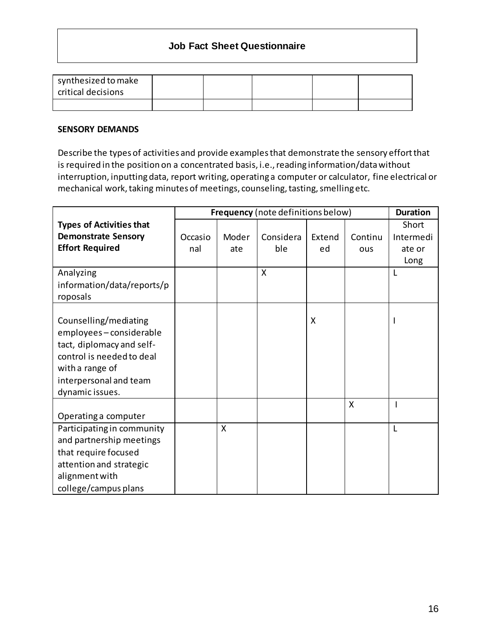| synthesized to make<br>critical decisions |  |  |  |
|-------------------------------------------|--|--|--|
|                                           |  |  |  |

#### **SENSORY DEMANDS**

Describe the types of activities and provide examples that demonstrate the sensory effort that is required in the position on a concentrated basis, i.e., reading information/data without interruption, inputting data, report writing, operating a computer or calculator, fine electrical or mechanical work, taking minutes of meetings, counseling, tasting, smelling etc.

|                                 |         | Frequency (note definitions below) |           |        |         | <b>Duration</b> |
|---------------------------------|---------|------------------------------------|-----------|--------|---------|-----------------|
| <b>Types of Activities that</b> |         |                                    |           |        |         | Short           |
| <b>Demonstrate Sensory</b>      | Occasio | Moder                              | Considera | Extend | Continu | Intermedi       |
| <b>Effort Required</b>          | nal     | ate                                | ble       | ed     | ous     | ate or          |
|                                 |         |                                    |           |        |         | Long            |
| Analyzing                       |         |                                    | X         |        |         | L               |
| information/data/reports/p      |         |                                    |           |        |         |                 |
| roposals                        |         |                                    |           |        |         |                 |
|                                 |         |                                    |           |        |         |                 |
| Counselling/mediating           |         |                                    |           | X      |         |                 |
| employees-considerable          |         |                                    |           |        |         |                 |
| tact, diplomacy and self-       |         |                                    |           |        |         |                 |
| control is needed to deal       |         |                                    |           |        |         |                 |
| with a range of                 |         |                                    |           |        |         |                 |
| interpersonal and team          |         |                                    |           |        |         |                 |
| dynamic issues.                 |         |                                    |           |        |         |                 |
|                                 |         |                                    |           |        | X       |                 |
| Operating a computer            |         |                                    |           |        |         |                 |
| Participating in community      |         | X                                  |           |        |         | L               |
| and partnership meetings        |         |                                    |           |        |         |                 |
| that require focused            |         |                                    |           |        |         |                 |
| attention and strategic         |         |                                    |           |        |         |                 |
| alignment with                  |         |                                    |           |        |         |                 |
| college/campus plans            |         |                                    |           |        |         |                 |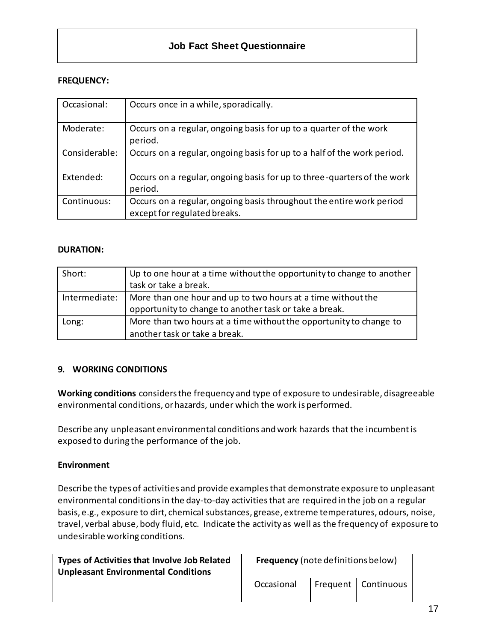### **FREQUENCY:**

| Occasional:   | Occurs once in a while, sporadically.                                                                |
|---------------|------------------------------------------------------------------------------------------------------|
| Moderate:     | Occurs on a regular, ongoing basis for up to a quarter of the work<br>period.                        |
| Considerable: | Occurs on a regular, ongoing basis for up to a half of the work period.                              |
| Extended:     | Occurs on a regular, ongoing basis for up to three-quarters of the work<br>period.                   |
| Continuous:   | Occurs on a regular, ongoing basis throughout the entire work period<br>except for regulated breaks. |

#### **DURATION:**

| Short:        | Up to one hour at a time without the opportunity to change to another<br>task or take a break.                         |
|---------------|------------------------------------------------------------------------------------------------------------------------|
| Intermediate: | More than one hour and up to two hours at a time without the<br>opportunity to change to another task or take a break. |
| Long:         | More than two hours at a time without the opportunity to change to<br>another task or take a break.                    |

### **9. WORKING CONDITIONS**

**Working conditions** considers the frequency and type of exposure to undesirable, disagreeable environmental conditions, or hazards, under which the work is performed.

Describe any unpleasant environmental conditions and work hazards that the incumbent is exposed to during the performance of the job.

#### **Environment**

Describe the types of activities and provide examples that demonstrate exposure to unpleasant environmental conditions in the day-to-day activities that are required in the job on a regular basis, e.g., exposure to dirt, chemical substances, grease, extreme temperatures, odours, noise, travel, verbal abuse, body fluid, etc. Indicate the activity as well as the frequency of exposure to undesirable working conditions.

| Types of Activities that Involve Job Related<br><b>Unpleasant Environmental Conditions</b> | <b>Frequency</b> (note definitions below) |  |                       |
|--------------------------------------------------------------------------------------------|-------------------------------------------|--|-----------------------|
|                                                                                            | Occasional                                |  | Frequent   Continuous |